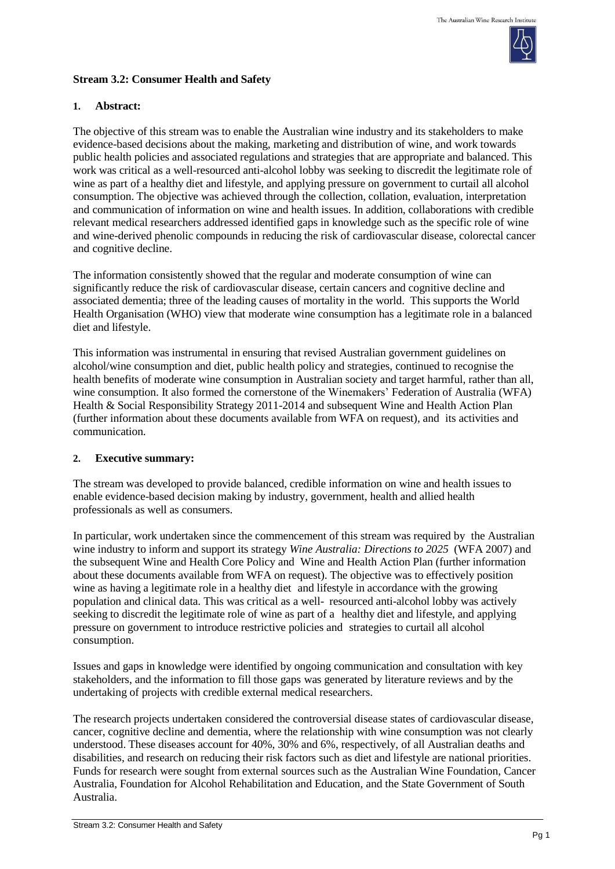

# **Stream 3.2: Consumer Health and Safety**

### **1. Abstract:**

The objective of this stream was to enable the Australian wine industry and its stakeholders to make evidence-based decisions about the making, marketing and distribution of wine, and work towards public health policies and associated regulations and strategies that are appropriate and balanced. This work was critical as a well-resourced anti-alcohol lobby was seeking to discredit the legitimate role of wine as part of a healthy diet and lifestyle, and applying pressure on government to curtail all alcohol consumption. The objective was achieved through the collection, collation, evaluation, interpretation and communication of information on wine and health issues. In addition, collaborations with credible relevant medical researchers addressed identified gaps in knowledge such as the specific role of wine and wine-derived phenolic compounds in reducing the risk of cardiovascular disease, colorectal cancer and cognitive decline.

The information consistently showed that the regular and moderate consumption of wine can significantly reduce the risk of cardiovascular disease, certain cancers and cognitive decline and associated dementia; three of the leading causes of [mortality](http://en.wikipedia.org/wiki/Death) in the world. This supports the World Health Organisation (WHO) view that moderate wine consumption has a legitimate role in a balanced diet and lifestyle.

This information was instrumental in ensuring that revised Australian government guidelines on alcohol/wine consumption and diet, public health policy and strategies, continued to recognise the health benefits of moderate wine consumption in Australian society and target harmful, rather than all, wine consumption. It also formed the cornerstone of the Winemakers' Federation of Australia (WFA) Health & Social Responsibility Strategy 2011-2014 and subsequent Wine and Health Action Plan (further information about these documents available from WFA on request), and its activities and communication.

### **2. Executive summary:**

The stream was developed to provide balanced, credible information on wine and health issues to enable evidence-based decision making by industry, government, health and allied health professionals as well as consumers.

In particular, work undertaken since the commencement of this stream was required by the Australian wine industry to inform and support its strategy *Wine Australia: Directions to 2025* (WFA 2007) and the subsequent Wine and Health Core Policy and Wine and Health Action Plan (further information about these documents available from WFA on request). The objective was to effectively position wine as having a legitimate role in a healthy diet and lifestyle in accordance with the growing population and clinical data. This was critical as a well- resourced anti-alcohol lobby was actively seeking to discredit the legitimate role of wine as part of a healthy diet and lifestyle, and applying pressure on government to introduce restrictive policies and strategies to curtail all alcohol consumption.

Issues and gaps in knowledge were identified by ongoing communication and consultation with key stakeholders, and the information to fill those gaps was generated by literature reviews and by the undertaking of projects with credible external medical researchers.

The research projects undertaken considered the controversial disease states of cardiovascular disease, cancer, cognitive decline and dementia, where the relationship with wine consumption was not clearly understood. These diseases account for 40%, 30% and 6%, respectively, of all Australian deaths and disabilities, and research on reducing their risk factors such as diet and lifestyle are national priorities. Funds for research were sought from external sources such as the Australian Wine Foundation, Cancer Australia, Foundation for Alcohol Rehabilitation and Education, and the State Government of South Australia.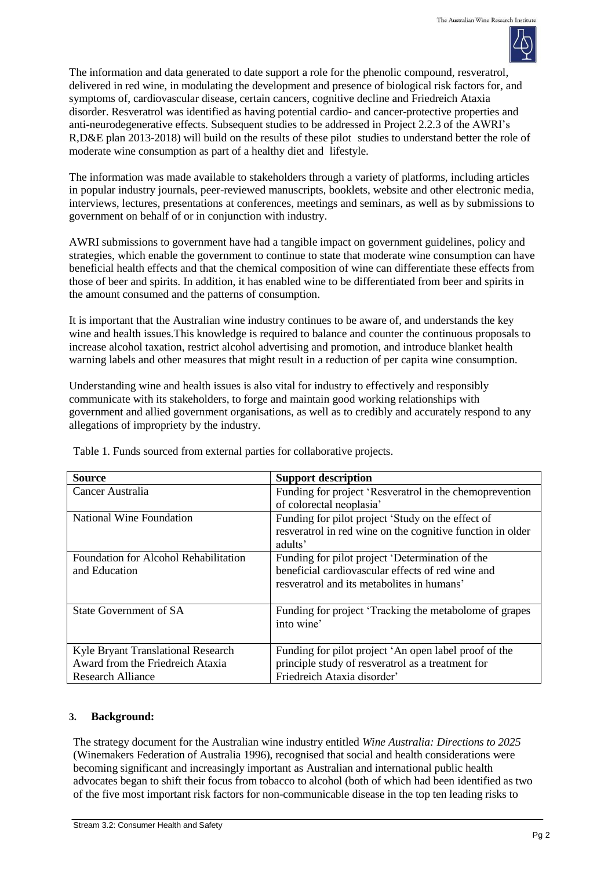

The information and data generated to date support a role for the phenolic compound, resveratrol, delivered in red wine, in modulating the development and presence of biological risk factors for, and symptoms of, cardiovascular disease, certain cancers, cognitive decline and Friedreich Ataxia disorder. Resveratrol was identified as having potential cardio- and cancer-protective properties and anti-neurodegenerative effects. Subsequent studies to be addressed in Project 2.2.3 of the AWRI's R,D&E plan 2013-2018) will build on the results of these pilot studies to understand better the role of moderate wine consumption as part of a healthy diet and lifestyle.

The information was made available to stakeholders through a variety of platforms, including articles in popular industry journals, peer-reviewed manuscripts, booklets, website and other electronic media, interviews, lectures, presentations at conferences, meetings and seminars, as well as by submissions to government on behalf of or in conjunction with industry.

AWRI submissions to government have had a tangible impact on government guidelines, policy and strategies, which enable the government to continue to state that moderate wine consumption can have beneficial health effects and that the chemical composition of wine can differentiate these effects from those of beer and spirits. In addition, it has enabled wine to be differentiated from beer and spirits in the amount consumed and the patterns of consumption.

It is important that the Australian wine industry continues to be aware of, and understands the key wine and health issues.This knowledge is required to balance and counter the continuous proposals to increase alcohol taxation, restrict alcohol advertising and promotion, and introduce blanket health warning labels and other measures that might result in a reduction of per capita wine consumption.

Understanding wine and health issues is also vital for industry to effectively and responsibly communicate with its stakeholders, to forge and maintain good working relationships with government and allied government organisations, as well as to credibly and accurately respond to any allegations of impropriety by the industry.

| <b>Source</b>                                | <b>Support description</b>                                 |  |
|----------------------------------------------|------------------------------------------------------------|--|
| Cancer Australia                             | Funding for project 'Resveratrol in the chemoprevention    |  |
|                                              | of colorectal neoplasia'                                   |  |
| National Wine Foundation                     | Funding for pilot project 'Study on the effect of          |  |
|                                              | resveratrol in red wine on the cognitive function in older |  |
|                                              | adults'                                                    |  |
| <b>Foundation for Alcohol Rehabilitation</b> | Funding for pilot project 'Determination of the            |  |
| and Education                                | beneficial cardiovascular effects of red wine and          |  |
|                                              | resveratrol and its metabolites in humans'                 |  |
|                                              |                                                            |  |
| State Government of SA                       | Funding for project 'Tracking the metabolome of grapes     |  |
|                                              | into wine'                                                 |  |
|                                              |                                                            |  |
| Kyle Bryant Translational Research           | Funding for pilot project 'An open label proof of the      |  |
| Award from the Friedreich Ataxia             | principle study of resveratrol as a treatment for          |  |
| Research Alliance                            | Friedreich Ataxia disorder'                                |  |

Table 1. Funds sourced from external parties for collaborative projects.

### **3. Background:**

The strategy document for the Australian wine industry entitled *Wine Australia: Directions to 2025* (Winemakers Federation of Australia 1996), recognised that social and health considerations were becoming significant and increasingly important as Australian and international public health advocates began to shift their focus from tobacco to alcohol (both of which had been identified as two of the five most important risk factors for non-communicable disease in the top ten leading risks to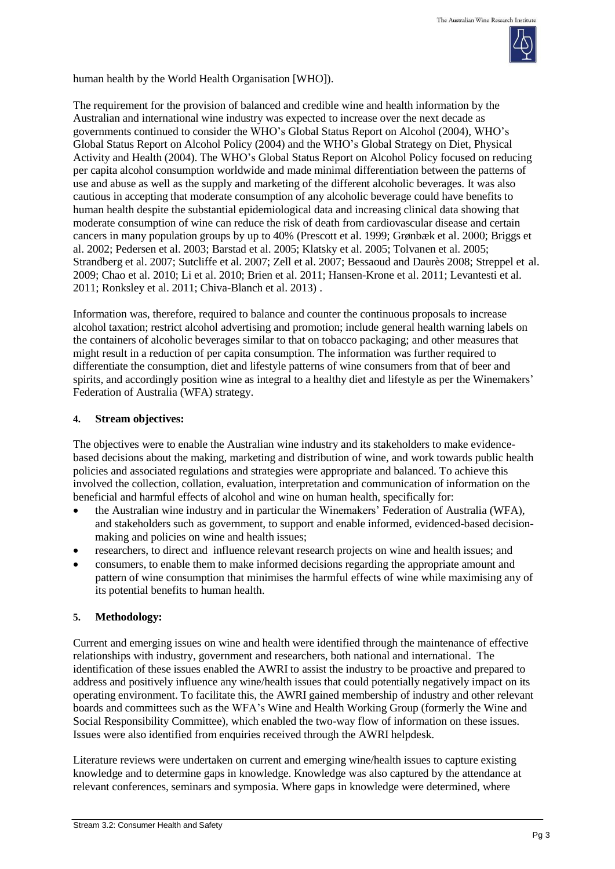

human health by the World Health Organisation [WHO]).

The requirement for the provision of balanced and credible wine and health information by the Australian and international wine industry was expected to increase over the next decade as governments continued to consider the WHO's Global Status Report on Alcohol (2004), WHO's Global Status Report on Alcohol Policy (2004) and the WHO's Global Strategy on Diet, Physical Activity and Health (2004). The WHO's Global Status Report on Alcohol Policy focused on reducing per capita alcohol consumption worldwide and made minimal differentiation between the patterns of use and abuse as well as the supply and marketing of the different alcoholic beverages. It was also cautious in accepting that moderate consumption of any alcoholic beverage could have benefits to human health despite the substantial epidemiological data and increasing clinical data showing that moderate consumption of wine can reduce the risk of death from cardiovascular disease and certain cancers in many population groups by up to 40% (Prescott et al. 1999; Grønbæk et al. 2000; Briggs et al. 2002; Pedersen et al. 2003; Barstad et al. 2005; Klatsky et al. 2005; Tolvanen et al. 2005; Strandberg et al. 2007; Sutcliffe et al. 2007; Zell et al. 2007; Bessaoud and Daurès 2008; Streppel et al. 2009; Chao et al. 2010; Li et al. 2010; Brien et al. 2011; Hansen-Krone et al. 2011; Levantesti et al. 2011; Ronksley et al. 2011; Chiva-Blanch et al. 2013) .

Information was, therefore, required to balance and counter the continuous proposals to increase alcohol taxation; restrict alcohol advertising and promotion; include general health warning labels on the containers of alcoholic beverages similar to that on tobacco packaging; and other measures that might result in a reduction of per capita consumption. The information was further required to differentiate the consumption, diet and lifestyle patterns of wine consumers from that of beer and spirits, and accordingly position wine as integral to a healthy diet and lifestyle as per the Winemakers' Federation of Australia (WFA) strategy.

### **4. Stream objectives:**

The objectives were to enable the Australian wine industry and its stakeholders to make evidencebased decisions about the making, marketing and distribution of wine, and work towards public health policies and associated regulations and strategies were appropriate and balanced. To achieve this involved the collection, collation, evaluation, interpretation and communication of information on the beneficial and harmful effects of alcohol and wine on human health, specifically for:

- the Australian wine industry and in particular the Winemakers' Federation of Australia (WFA), and stakeholders such as government, to support and enable informed, evidenced-based decisionmaking and policies on wine and health issues;
- researchers, to direct and influence relevant research projects on wine and health issues; and
- consumers, to enable them to make informed decisions regarding the appropriate amount and pattern of wine consumption that minimises the harmful effects of wine while maximising any of its potential benefits to human health.

### **5. Methodology:**

Current and emerging issues on wine and health were identified through the maintenance of effective relationships with industry, government and researchers, both national and international. The identification of these issues enabled the AWRI to assist the industry to be proactive and prepared to address and positively influence any wine/health issues that could potentially negatively impact on its operating environment. To facilitate this, the AWRI gained membership of industry and other relevant boards and committees such as the WFA's Wine and Health Working Group (formerly the Wine and Social Responsibility Committee), which enabled the two-way flow of information on these issues. Issues were also identified from enquiries received through the AWRI helpdesk.

Literature reviews were undertaken on current and emerging wine/health issues to capture existing knowledge and to determine gaps in knowledge. Knowledge was also captured by the attendance at relevant conferences, seminars and symposia. Where gaps in knowledge were determined, where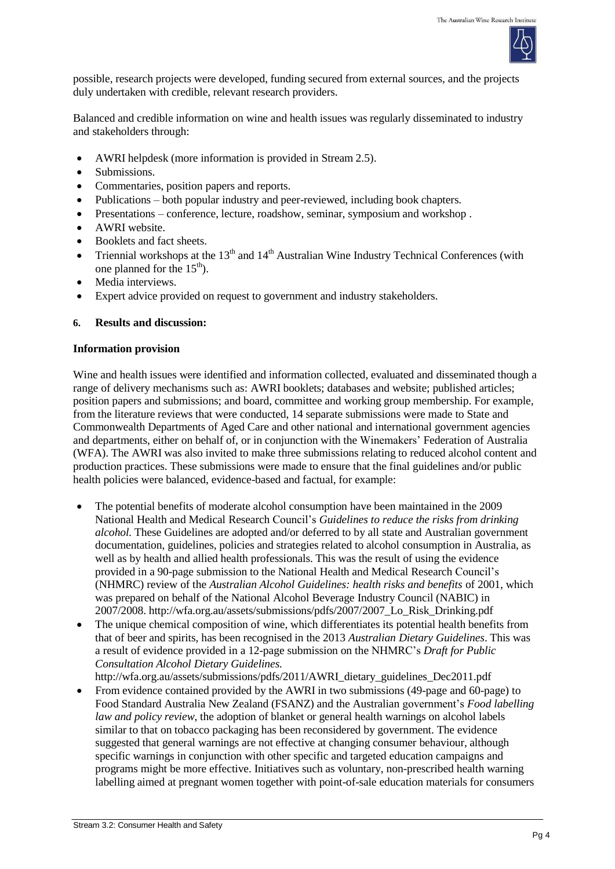

possible, research projects were developed, funding secured from external sources, and the projects duly undertaken with credible, relevant research providers.

Balanced and credible information on wine and health issues was regularly disseminated to industry and stakeholders through:

- AWRI helpdesk (more information is provided in Stream 2.5).
- Submissions.
- Commentaries, position papers and reports.
- Publications both popular industry and peer-reviewed, including book chapters.
- Presentations conference, lecture, roadshow, seminar, symposium and workshop .
- AWRI website.
- Booklets and fact sheets.
- Triennial workshops at the  $13<sup>th</sup>$  and  $14<sup>th</sup>$  Australian Wine Industry Technical Conferences (with one planned for the  $15<sup>th</sup>$ .
- Media interviews.
- Expert advice provided on request to government and industry stakeholders.

### **6. Results and discussion:**

### **Information provision**

Wine and health issues were identified and information collected, evaluated and disseminated though a range of delivery mechanisms such as: AWRI booklets; databases and website; published articles; position papers and submissions; and board, committee and working group membership. For example, from the literature reviews that were conducted, 14 separate submissions were made to State and Commonwealth Departments of Aged Care and other national and international government agencies and departments, either on behalf of, or in conjunction with the Winemakers' Federation of Australia (WFA). The AWRI was also invited to make three submissions relating to reduced alcohol content and production practices. These submissions were made to ensure that the final guidelines and/or public health policies were balanced, evidence-based and factual, for example:

- The potential benefits of moderate alcohol consumption have been maintained in the 2009 National Health and Medical Research Council's *Guidelines to reduce the risks from drinking alcohol.* These Guidelines are adopted and/or deferred to by all state and Australian government documentation, guidelines, policies and strategies related to alcohol consumption in Australia, as well as by health and allied health professionals. This was the result of using the evidence provided in a 90-page submission to the National Health and Medical Research Council's (NHMRC) review of the *Australian Alcohol Guidelines: health risks and benefits* of 2001, which was prepared on behalf of the National Alcohol Beverage Industry Council (NABIC) in 2007/2008. [http://wfa.org.au/assets/submissions/pdfs/2007/2007\\_Lo\\_Risk\\_Drinking.pdf](http://wfa.org.au/assets/submissions/pdfs/2007/2007_Lo_Risk_Drinking.pdf)
- The unique chemical composition of wine, which differentiates its potential health benefits from that of beer and spirits, has been recognised in the 2013 *Australian Dietary Guidelines*. This was a result of evidence provided in a 12-page submission on the NHMRC's *Draft for Public Consultation Alcohol Dietary Guidelines.* [http://wfa.org.au/assets/submissions/pdfs/2011/AWRI\\_dietary\\_guidelines\\_Dec2011.pdf](http://wfa.org.au/assets/submissions/pdfs/2011/AWRI_dietary_guidelines_Dec2011.pdf)
- From evidence contained provided by the AWRI in two submissions (49-page and 60-page) to Food Standard Australia New Zealand (FSANZ) and the Australian government's *Food labelling law and policy review*, the adoption of blanket or general health warnings on alcohol labels similar to that on tobacco packaging has been reconsidered by government. The evidence suggested that general warnings are not effective at changing consumer behaviour, although specific warnings in conjunction with other specific and targeted education campaigns and programs might be more effective. Initiatives such as voluntary, non-prescribed health warning labelling aimed at pregnant women together with point-of-sale education materials for consumers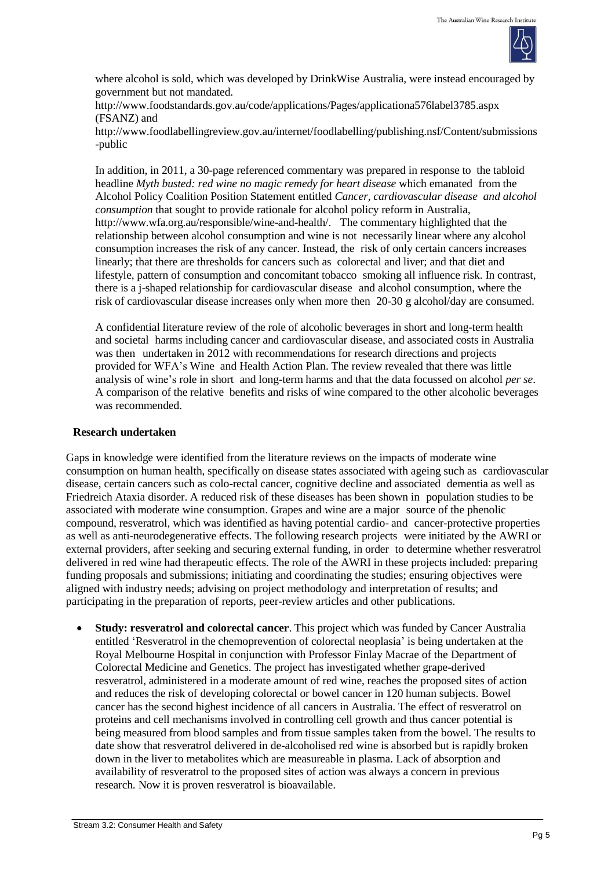

where alcohol is sold, which was developed by DrinkWise Australia, were instead encouraged by government but not mandated.

<http://www.foodstandards.gov.au/code/applications/Pages/applicationa576label3785.aspx> (FSANZ) and

[http://www.foodlabellingreview.gov.au/internet/foodlabelling/publishing.nsf/Content/submissions](http://www.foodlabellingreview.gov.au/internet/foodlabelling/publishing.nsf/Content/submissions-public) [-public](http://www.foodlabellingreview.gov.au/internet/foodlabelling/publishing.nsf/Content/submissions-public)

In addition, in 2011, a 30-page referenced commentary was prepared in response to the tabloid headline *Myth busted: red wine no magic remedy for heart disease* which emanated from the Alcohol Policy Coalition Position Statement entitled *Cancer, cardiovascular disease and alcohol consumption* that sought to provide rationale for alcohol policy reform in Australia, http://www.wfa.org.au/responsible/wine-and-health/. The commentary highlighted that the relationship between alcohol consumption and wine is not necessarily linear where any alcohol consumption increases the risk of any cancer. Instead, the risk of only certain cancers increases linearly; that there are thresholds for cancers such as colorectal and liver; and that diet and lifestyle, pattern of consumption and concomitant tobacco smoking all influence risk. In contrast, there is a j-shaped relationship for cardiovascular disease and alcohol consumption, where the risk of cardiovascular disease increases only when more then 20-30 g alcohol/day are consumed.

A confidential literature review of the role of alcoholic beverages in short and long-term health and societal harms including cancer and cardiovascular disease, and associated costs in Australia was then undertaken in 2012 with recommendations for research directions and projects provided for WFA's Wine and Health Action Plan. The review revealed that there was little analysis of wine's role in short and long-term harms and that the data focussed on alcohol *per se*. A comparison of the relative benefits and risks of wine compared to the other alcoholic beverages was recommended.

#### **Research undertaken**

Gaps in knowledge were identified from the literature reviews on the impacts of moderate wine consumption on human health, specifically on disease states associated with ageing such as cardiovascular disease, certain cancers such as colo-rectal cancer, cognitive decline and associated dementia as well as Friedreich Ataxia disorder. A reduced risk of these diseases has been shown in population studies to be associated with moderate wine consumption. Grapes and wine are a major source of the phenolic compound, resveratrol, which was identified as having potential cardio- and cancer-protective properties as well as anti-neurodegenerative effects. The following research projects were initiated by the AWRI or external providers, after seeking and securing external funding, in order to determine whether resveratrol delivered in red wine had therapeutic effects. The role of the AWRI in these projects included: preparing funding proposals and submissions; initiating and coordinating the studies; ensuring objectives were aligned with industry needs; advising on project methodology and interpretation of results; and participating in the preparation of reports, peer-review articles and other publications.

 **Study: resveratrol and colorectal cancer**. This project which was funded by Cancer Australia entitled 'Resveratrol in the chemoprevention of colorectal neoplasia' is being undertaken at the Royal Melbourne Hospital in conjunction with Professor Finlay Macrae of the Department of Colorectal Medicine and Genetics. The project has investigated whether grape-derived resveratrol, administered in a moderate amount of red wine, reaches the proposed sites of action and reduces the risk of developing colorectal or bowel cancer in 120 human subjects. Bowel cancer has the second highest incidence of all cancers in Australia. The effect of resveratrol on proteins and cell mechanisms involved in controlling cell growth and thus cancer potential is being measured from blood samples and from tissue samples taken from the bowel. The results to date show that resveratrol delivered in de-alcoholised red wine is absorbed but is rapidly broken down in the liver to metabolites which are measureable in plasma. Lack of absorption and availability of resveratrol to the proposed sites of action was always a concern in previous research. Now it is proven resveratrol is bioavailable.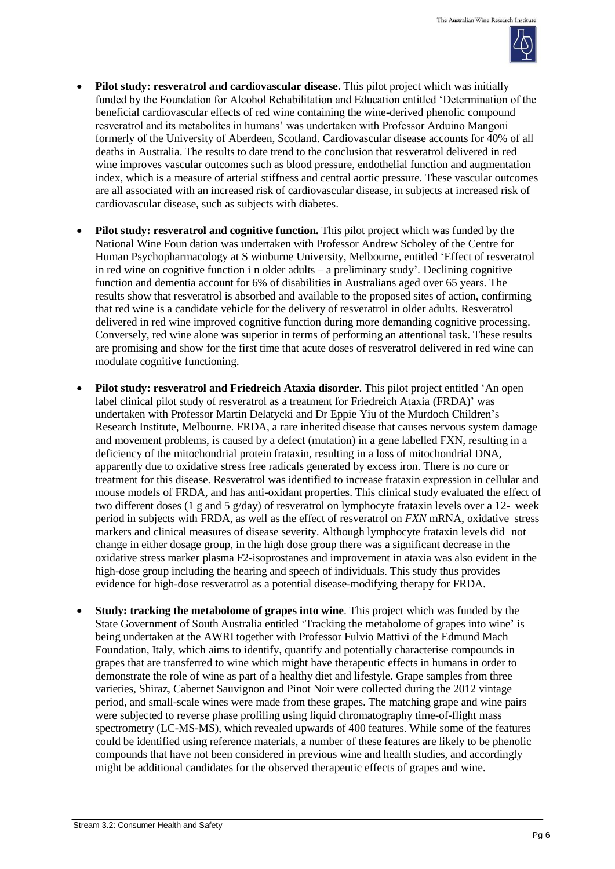

- **Pilot study: resveratrol and cardiovascular disease.** This pilot project which was initially funded by the Foundation for Alcohol Rehabilitation and Education entitled 'Determination of the beneficial cardiovascular effects of red wine containing the wine-derived phenolic compound resveratrol and its metabolites in humans' was undertaken with Professor Arduino Mangoni formerly of the University of Aberdeen, Scotland. Cardiovascular disease accounts for 40% of all deaths in Australia. The results to date trend to the conclusion that resveratrol delivered in red wine improves vascular outcomes such as blood pressure, endothelial function and augmentation index, which is a measure of arterial stiffness and central aortic pressure. These vascular outcomes are all associated with an increased risk of cardiovascular disease, in subjects at increased risk of cardiovascular disease, such as subjects with diabetes.
- **Pilot study: resveratrol and cognitive function.** This pilot project which was funded by the National Wine Foun dation was undertaken with Professor Andrew Scholey of the Centre for Human Psychopharmacology at S winburne University, Melbourne, entitled 'Effect of resveratrol in red wine on cognitive function i n older adults – a preliminary study'*.* Declining cognitive function and dementia account for 6% of disabilities in Australians aged over 65 years. The results show that resveratrol is absorbed and available to the proposed sites of action, confirming that red wine is a candidate vehicle for the delivery of resveratrol in older adults. Resveratrol delivered in red wine improved cognitive function during more demanding cognitive processing. Conversely, red wine alone was superior in terms of performing an attentional task. These results are promising and show for the first time that acute doses of resveratrol delivered in red wine can modulate cognitive functioning.
- **Pilot study: resveratrol and Friedreich Ataxia disorder**. This pilot project entitled 'An open label clinical pilot study of resveratrol as a treatment for Friedreich Ataxia (FRDA)' was undertaken with Professor Martin Delatycki and Dr Eppie Yiu of the Murdoch Children's Research Institute, Melbourne. FRDA, a rare inherited disease that causes nervous system damage and movement problems, is caused by a defect (mutation) in a gene labelled FXN, resulting in a deficiency of the mitochondrial protein frataxin, resulting in a loss of mitochondrial DNA, apparently due to oxidative stress free radicals generated by excess iron. There is no cure or treatment for this disease. Resveratrol was identified to increase frataxin expression in cellular and mouse models of FRDA, and has anti-oxidant properties. This clinical study evaluated the effect of two different doses (1 g and 5 g/day) of resveratrol on lymphocyte frataxin levels over a 12- week period in subjects with FRDA, as well as the effect of resveratrol on *FXN* mRNA, oxidative stress markers and clinical measures of disease severity. Although lymphocyte frataxin levels did not change in either dosage group, in the high dose group there was a significant decrease in the oxidative stress marker plasma F2-isoprostanes and improvement in ataxia was also evident in the high-dose group including the hearing and speech of individuals. This study thus provides evidence for high-dose resveratrol as a potential disease-modifying therapy for FRDA.
- **Study: tracking the metabolome of grapes into wine**. This project which was funded by the State Government of South Australia entitled 'Tracking the metabolome of grapes into wine' is being undertaken at the AWRI together with Professor Fulvio Mattivi of the Edmund Mach Foundation, Italy, which aims to identify, quantify and potentially characterise compounds in grapes that are transferred to wine which might have therapeutic effects in humans in order to demonstrate the role of wine as part of a healthy diet and lifestyle. Grape samples from three varieties, Shiraz, Cabernet Sauvignon and Pinot Noir were collected during the 2012 vintage period, and small-scale wines were made from these grapes. The matching grape and wine pairs were subjected to reverse phase profiling using liquid chromatography time-of-flight mass spectrometry (LC-MS-MS), which revealed upwards of 400 features. While some of the features could be identified using reference materials, a number of these features are likely to be phenolic compounds that have not been considered in previous wine and health studies, and accordingly might be additional candidates for the observed therapeutic effects of grapes and wine.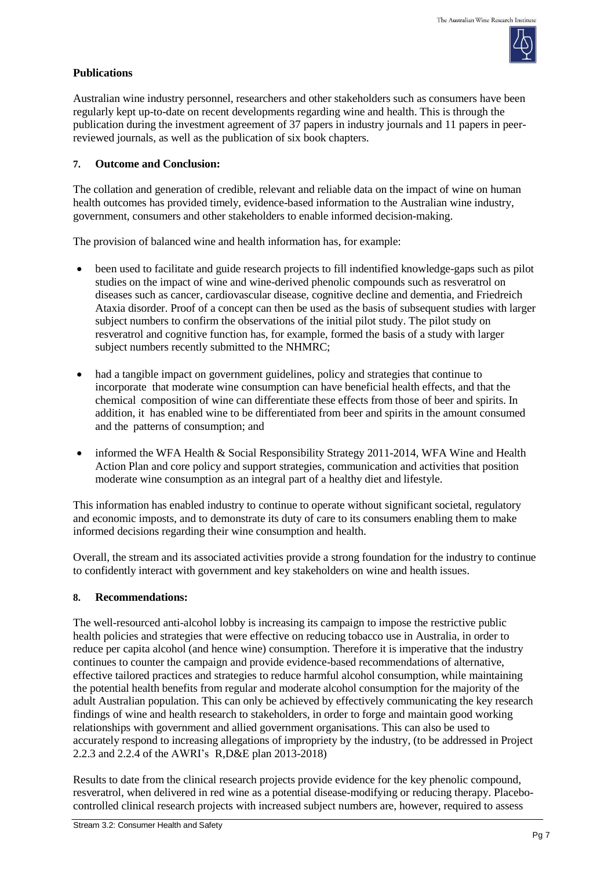

# **Publications**

Australian wine industry personnel, researchers and other stakeholders such as consumers have been regularly kept up-to-date on recent developments regarding wine and health. This is through the publication during the investment agreement of 37 papers in industry journals and 11 papers in peerreviewed journals, as well as the publication of six book chapters.

# **7. Outcome and Conclusion:**

The collation and generation of credible, relevant and reliable data on the impact of wine on human health outcomes has provided timely, evidence-based information to the Australian wine industry, government, consumers and other stakeholders to enable informed decision-making.

The provision of balanced wine and health information has, for example:

- been used to facilitate and guide research projects to fill indentified knowledge-gaps such as pilot studies on the impact of wine and wine-derived phenolic compounds such as resveratrol on diseases such as cancer, cardiovascular disease, cognitive decline and dementia, and Friedreich Ataxia disorder. Proof of a concept can then be used as the basis of subsequent studies with larger subject numbers to confirm the observations of the initial pilot study. The pilot study on resveratrol and cognitive function has, for example, formed the basis of a study with larger subject numbers recently submitted to the NHMRC;
- had a tangible impact on government guidelines, policy and strategies that continue to incorporate that moderate wine consumption can have beneficial health effects, and that the chemical composition of wine can differentiate these effects from those of beer and spirits. In addition, it has enabled wine to be differentiated from beer and spirits in the amount consumed and the patterns of consumption; and
- informed the WFA Health & Social Responsibility Strategy 2011-2014, WFA Wine and Health Action Plan and core policy and support strategies, communication and activities that position moderate wine consumption as an integral part of a healthy diet and lifestyle.

This information has enabled industry to continue to operate without significant societal, regulatory and economic imposts, and to demonstrate its duty of care to its consumers enabling them to make informed decisions regarding their wine consumption and health.

Overall, the stream and its associated activities provide a strong foundation for the industry to continue to confidently interact with government and key stakeholders on wine and health issues.

# **8. Recommendations:**

The well-resourced anti-alcohol lobby is increasing its campaign to impose the restrictive public health policies and strategies that were effective on reducing tobacco use in Australia, in order to reduce per capita alcohol (and hence wine) consumption. Therefore it is imperative that the industry continues to counter the campaign and provide evidence-based recommendations of alternative, effective tailored practices and strategies to reduce harmful alcohol consumption, while maintaining the potential health benefits from regular and moderate alcohol consumption for the majority of the adult Australian population. This can only be achieved by effectively communicating the key research findings of wine and health research to stakeholders, in order to forge and maintain good working relationships with government and allied government organisations. This can also be used to accurately respond to increasing allegations of impropriety by the industry, (to be addressed in Project 2.2.3 and 2.2.4 of the AWRI's R,D&E plan 2013-2018)

Results to date from the clinical research projects provide evidence for the key phenolic compound, resveratrol, when delivered in red wine as a potential disease-modifying or reducing therapy. Placebocontrolled clinical research projects with increased subject numbers are, however, required to assess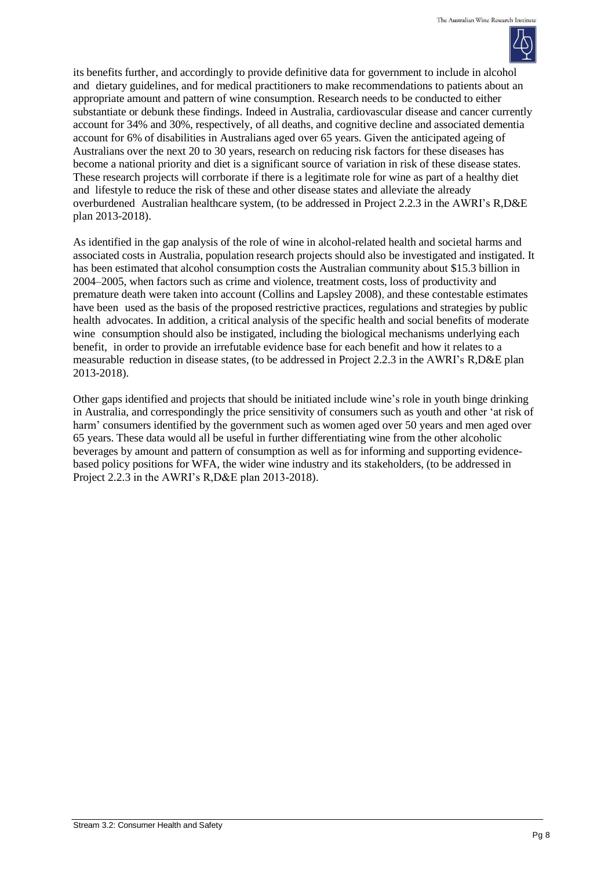

its benefits further, and accordingly to provide definitive data for government to include in alcohol and dietary guidelines, and for medical practitioners to make recommendations to patients about an appropriate amount and pattern of wine consumption. Research needs to be conducted to either substantiate or debunk these findings. Indeed in Australia, cardiovascular disease and cancer currently account for 34% and 30%, respectively, of all deaths, and cognitive decline and associated dementia account for 6% of disabilities in Australians aged over 65 years. Given the anticipated ageing of Australians over the next 20 to 30 years, research on reducing risk factors for these diseases has become a national priority and diet is a significant source of variation in risk of these disease states. These research projects will corrborate if there is a legitimate role for wine as part of a healthy diet and lifestyle to reduce the risk of these and other disease states and alleviate the already overburdened Australian healthcare system, (to be addressed in Project 2.2.3 in the AWRI's R,D&E plan 2013-2018).

As identified in the gap analysis of the role of wine in alcohol-related health and societal harms and associated costs in Australia, population research projects should also be investigated and instigated. It has been estimated that alcohol consumption costs the Australian community about \$15.3 billion in 2004–2005, when factors such as crime and violence, treatment costs, loss of productivity and premature death were taken into account (Collins and Lapsley 2008), and these contestable estimates have been used as the basis of the proposed restrictive practices, regulations and strategies by public health advocates. In addition, a critical analysis of the specific health and social benefits of moderate wine consumption should also be instigated, including the biological mechanisms underlying each benefit, in order to provide an irrefutable evidence base for each benefit and how it relates to a measurable reduction in disease states, (to be addressed in Project 2.2.3 in the AWRI's R,D&E plan 2013-2018).

Other gaps identified and projects that should be initiated include wine's role in youth binge drinking in Australia, and correspondingly the price sensitivity of consumers such as youth and other 'at risk of harm' consumers identified by the government such as women aged over 50 years and men aged over 65 years. These data would all be useful in further differentiating wine from the other alcoholic beverages by amount and pattern of consumption as well as for informing and supporting evidencebased policy positions for WFA, the wider wine industry and its stakeholders, (to be addressed in Project 2.2.3 in the AWRI's R,D&E plan 2013-2018).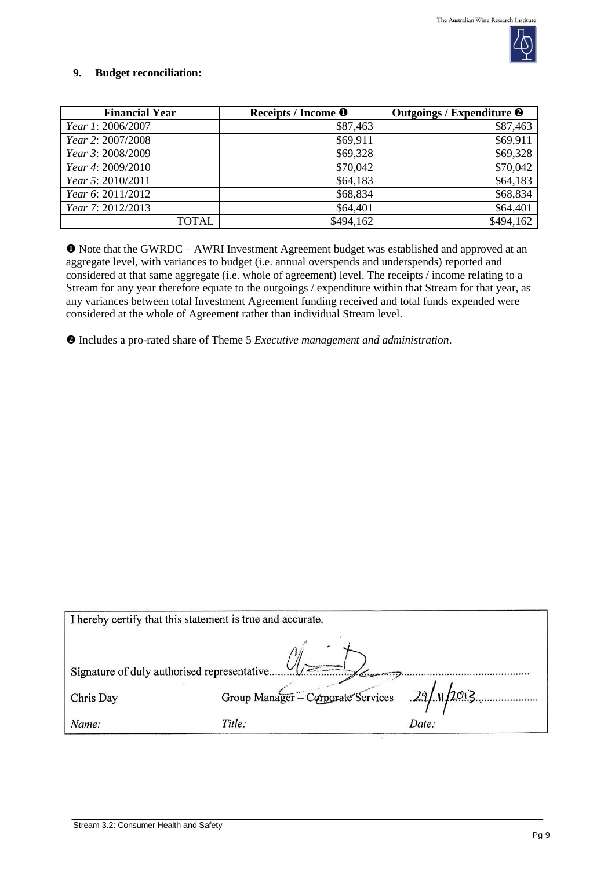

### **9. Budget reconciliation:**

| <b>Financial Year</b>    | Receipts / Income <sup>O</sup> | Outgoings / Expenditure <sup>@</sup> |
|--------------------------|--------------------------------|--------------------------------------|
| <i>Year 1: 2006/2007</i> | \$87,463                       | \$87,463                             |
| Year 2: 2007/2008        | \$69,911                       | \$69,911                             |
| Year 3: 2008/2009        | \$69,328                       | \$69,328                             |
| Year 4: 2009/2010        | \$70,042                       | \$70,042                             |
| Year 5: 2010/2011        | \$64,183                       | \$64,183                             |
| Year 6: 2011/2012        | \$68,834                       | \$68,834                             |
| Year 7: 2012/2013        | \$64,401                       | \$64,401                             |
| TOTAL                    | \$494,162                      | \$494,162                            |

 Note that the GWRDC – AWRI Investment Agreement budget was established and approved at an aggregate level, with variances to budget (i.e. annual overspends and underspends) reported and considered at that same aggregate (i.e. whole of agreement) level. The receipts / income relating to a Stream for any year therefore equate to the outgoings / expenditure within that Stream for that year, as any variances between total Investment Agreement funding received and total funds expended were considered at the whole of Agreement rather than individual Stream level.

Includes a pro-rated share of Theme 5 *Executive management and administration*.

| I hereby certify that this statement is true and accurate. |                                               |       |  |
|------------------------------------------------------------|-----------------------------------------------|-------|--|
| $\sqrt{2}$<br>Signature of duly authorised representative  |                                               |       |  |
| Chris Day                                                  | Group Manager - Corporate Services 29/11/2013 |       |  |
| Name:                                                      | Title:                                        | Date: |  |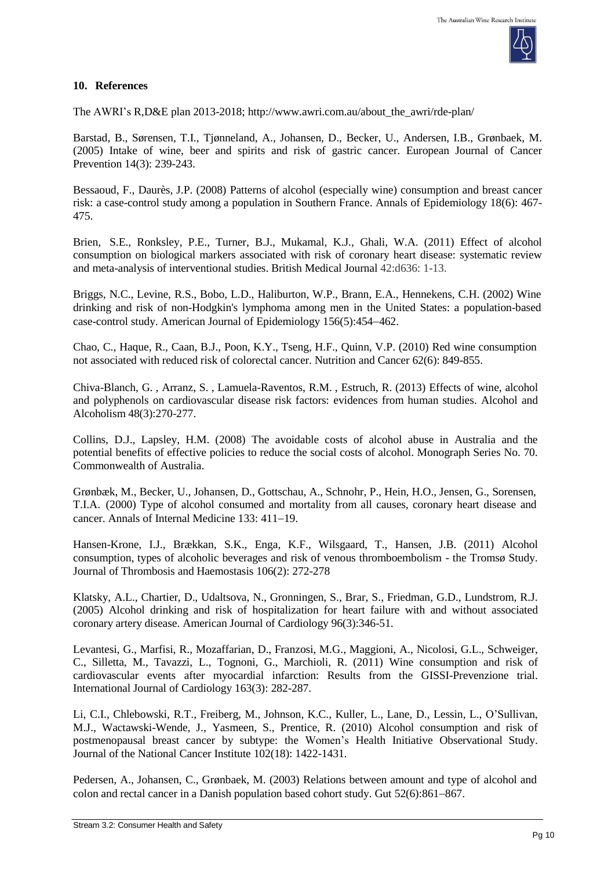

#### **10. References**

The AWRI's R,D&E plan 2013-2018; [http://www.awri.com.au/about\\_the\\_awri/rde-plan/](http://www.awri.com.au/about_the_awri/rde-plan/)

Barstad, B., Sørensen, T.I., Tjønneland, A., Johansen, D., Becker, U., Andersen, I.B., Grønbaek, M. (2005) Intake of wine, beer and spirits and risk of gastric cancer. European Journal of Cancer Prevention 14(3): 239-243.

Bessaoud, F., Daurès, J.P. (2008) Patterns of alcohol (especially wine) consumption and breast cancer risk: a case-control study among a population in Southern France. Annals of Epidemiology 18(6): 467- 475.

Brien, S.E., Ronksley, P.E., Turner, B.J., Mukamal, K.J., Ghali, W.A. (2011) Effect of alcohol consumption on biological markers associated with risk of coronary heart disease: systematic review and meta-analysis of interventional studies. British Medical Journal 42:d636: 1-13.

Briggs, N.C., Levine, R.S., Bobo, L.D., Haliburton, W.P., Brann, E.A., Hennekens, C.H. (2002) Wine drinking and risk of non-Hodgkin's lymphoma among men in the United States: a population-based case-control study. American Journal of Epidemiology  $156(5)$ :454-462.

Chao, C., Haque, R., Caan, B.J., Poon, K.Y., Tseng, H.F., Quinn, V.P. (2010) Red wine consumption not associated with reduced risk of colorectal cancer. Nutrition and Cancer 62(6): 849-855.

Chiva-Blanch, G. , Arranz, S. , Lamuela-Raventos, R.M. , Estruch, R. (2013) Effects of wine, alcohol and polyphenols on cardiovascular disease risk factors: evidences from human studies. Alcohol and Alcoholism 48(3):270-277.

Collins, D.J., Lapsley, H.M. (2008) The avoidable costs of alcohol abuse in Australia and the potential benefits of effective policies to reduce the social costs of alcohol. Monograph Series No. 70. Commonwealth of Australia.

Grønbæk, M., Becker, U., Johansen, D., Gottschau, A., Schnohr, P., Hein, H.O., Jensen, G., Sorensen, T.I.A. (2000) Type of alcohol consumed and mortality from all causes, coronary heart disease and cancer. Annals of Internal Medicine 133: 411-19.

Hansen-Krone, I.J., Brækkan, S.K., Enga, K.F., Wilsgaard, T., Hansen, J.B. (2011) Alcohol consumption, types of alcoholic beverages and risk of venous thromboembolism - the Tromsø Study. Journal of Thrombosis and Haemostasis 106(2): 272-278

Klatsky, A.L., Chartier, D., Udaltsova, N., Gronningen, S., Brar, S., Friedman, G.D., Lundstrom, R.J. (2005) Alcohol drinking and risk of [hospitalization](http://www.ncbi.nlm.nih.gov/pubmed/16054455) for heart failure with and without associated [coronary](http://www.ncbi.nlm.nih.gov/pubmed/16054455) artery disease. American Journal of Cardiology 96(3):346-51.

Levantesi, G., Marfisi, R., Mozaffarian, D., Franzosi, M.G., Maggioni, A., Nicolosi, G.L., Schweiger, C., Silletta, M., Tavazzi, L., Tognoni, G., Marchioli, R. (2011) Wine consumption and risk of cardiovascular events after myocardial infarction: Results from the GISSI-Prevenzione trial. International Journal of Cardiology 163(3): 282-287.

Li, C.I., Chlebowski, R.T., Freiberg, M., Johnson, K.C., Kuller, L., Lane, D., Lessin, L., O'Sullivan, M.J., Wactawski-Wende, J., Yasmeen, S., Prentice, R. (2010) Alcohol consumption and risk of postmenopausal breast cancer by subtype: the Women's Health Initiative Observational Study. Journal of the National Cancer Institute 102(18): 1422-1431.

Pedersen, A., Johansen, C., Grønbaek, M. (2003) Relations between amount and type of alcohol and colon and rectal cancer in a Danish population based cohort study. Gut  $52(6)$ :861–867.